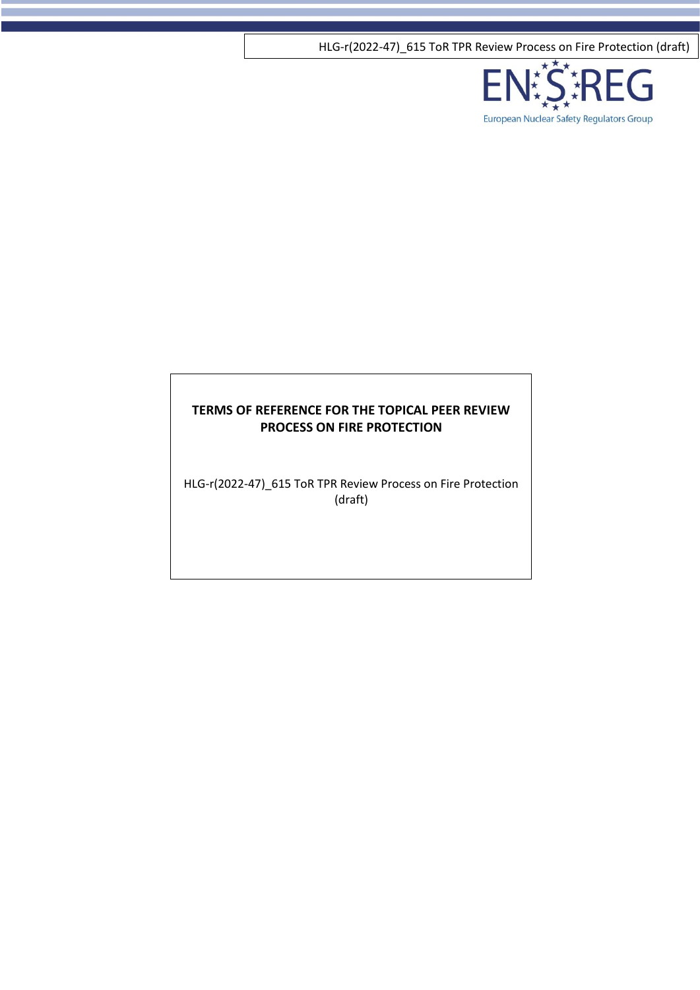HLG-r(2022-47)\_615 ToR TPR Review Process on Fire Protection (draft)



# **TERMS OF REFERENCE FOR THE TOPICAL PEER REVIEW PROCESS ON FIRE PROTECTION**

HLG-r(2022-47)\_615 ToR TPR Review Process on Fire Protection (draft)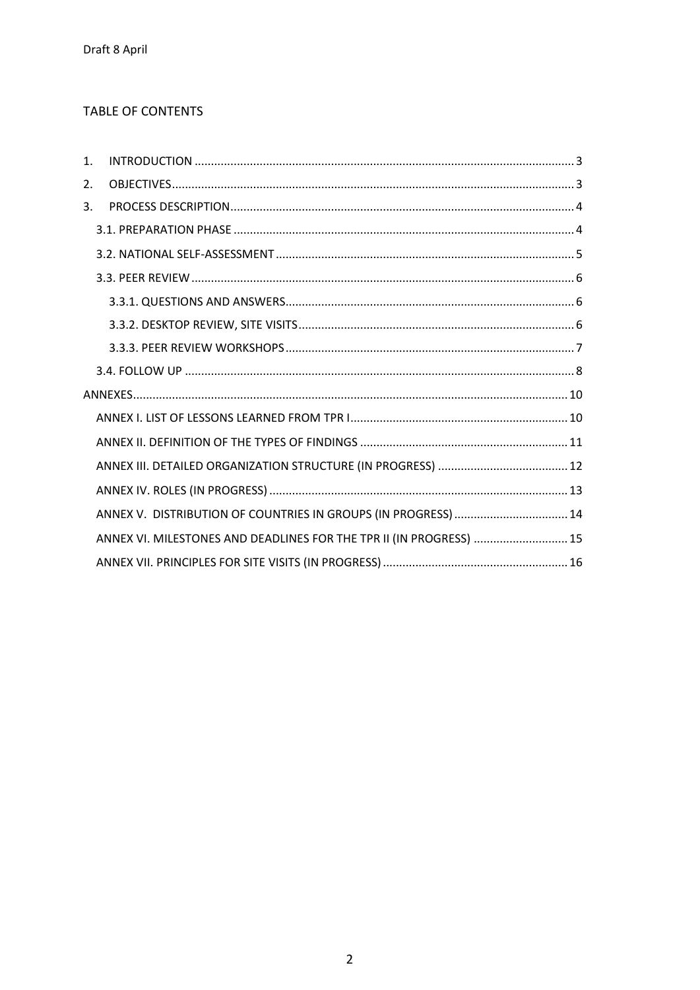# TABLE OF CONTENTS

| $\mathbf{1}$ . |                                                                     |  |
|----------------|---------------------------------------------------------------------|--|
| 2.             |                                                                     |  |
| 3.             |                                                                     |  |
|                |                                                                     |  |
|                |                                                                     |  |
|                |                                                                     |  |
|                |                                                                     |  |
|                |                                                                     |  |
|                |                                                                     |  |
|                |                                                                     |  |
|                |                                                                     |  |
|                |                                                                     |  |
|                |                                                                     |  |
|                |                                                                     |  |
|                |                                                                     |  |
|                | ANNEX V. DISTRIBUTION OF COUNTRIES IN GROUPS (IN PROGRESS)  14      |  |
|                | ANNEX VI. MILESTONES AND DEADLINES FOR THE TPR II (IN PROGRESS)  15 |  |
|                |                                                                     |  |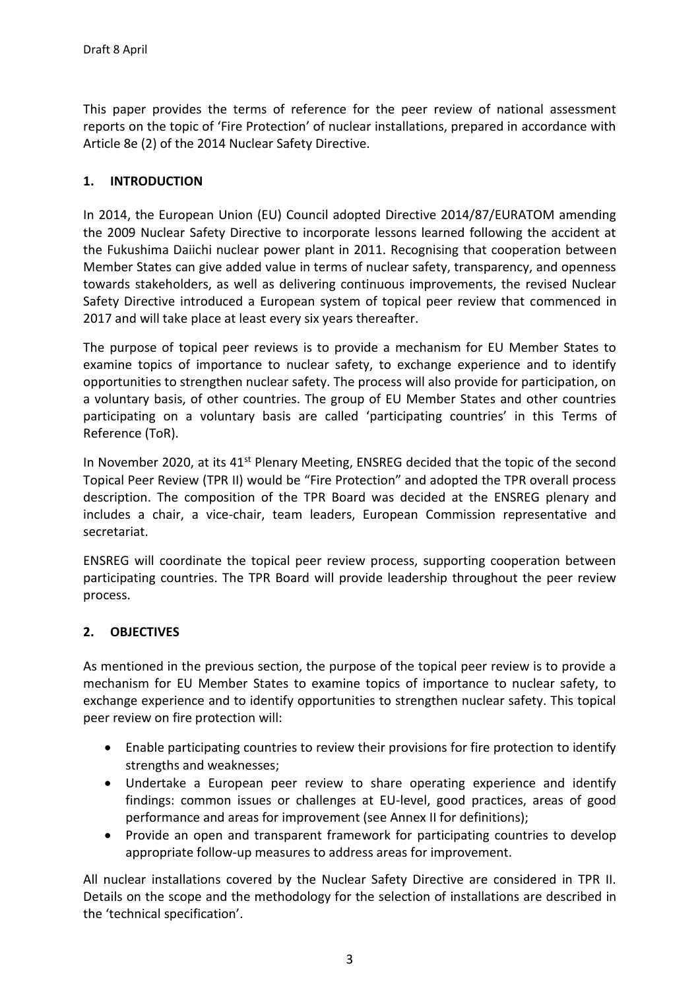This paper provides the terms of reference for the peer review of national assessment reports on the topic of 'Fire Protection' of nuclear installations, prepared in accordance with Article 8e (2) of the 2014 Nuclear Safety Directive.

# <span id="page-2-0"></span>**1. INTRODUCTION**

In 2014, the European Union (EU) Council adopted Directive 2014/87/EURATOM amending the 2009 Nuclear Safety Directive to incorporate lessons learned following the accident at the Fukushima Daiichi nuclear power plant in 2011. Recognising that cooperation between Member States can give added value in terms of nuclear safety, transparency, and openness towards stakeholders, as well as delivering continuous improvements, the revised Nuclear Safety Directive introduced a European system of topical peer review that commenced in 2017 and will take place at least every six years thereafter.

The purpose of topical peer reviews is to provide a mechanism for EU Member States to examine topics of importance to nuclear safety, to exchange experience and to identify opportunities to strengthen nuclear safety. The process will also provide for participation, on a voluntary basis, of other countries. The group of EU Member States and other countries participating on a voluntary basis are called 'participating countries' in this Terms of Reference (ToR).

In November 2020, at its 41<sup>st</sup> Plenary Meeting, ENSREG decided that the topic of the second Topical Peer Review (TPR II) would be "Fire Protection" and adopted the TPR overall process description. The composition of the TPR Board was decided at the ENSREG plenary and includes a chair, a vice-chair, team leaders, European Commission representative and secretariat.

ENSREG will coordinate the topical peer review process, supporting cooperation between participating countries. The TPR Board will provide leadership throughout the peer review process.

# <span id="page-2-1"></span>**2. OBJECTIVES**

As mentioned in the previous section, the purpose of the topical peer review is to provide a mechanism for EU Member States to examine topics of importance to nuclear safety, to exchange experience and to identify opportunities to strengthen nuclear safety. This topical peer review on fire protection will:

- Enable participating countries to review their provisions for fire protection to identify strengths and weaknesses;
- Undertake a European peer review to share operating experience and identify findings: common issues or challenges at EU-level, good practices, areas of good performance and areas for improvement (see Annex II for definitions);
- Provide an open and transparent framework for participating countries to develop appropriate follow-up measures to address areas for improvement.

All nuclear installations covered by the Nuclear Safety Directive are considered in TPR II. Details on the scope and the methodology for the selection of installations are described in the 'technical specification'.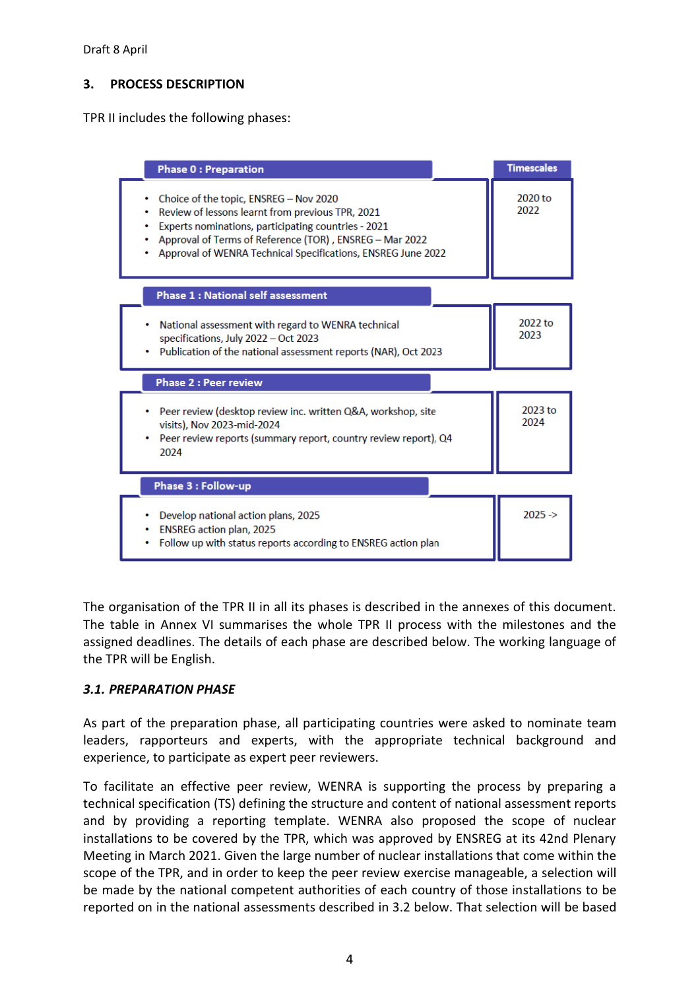# <span id="page-3-0"></span>**3. PROCESS DESCRIPTION**

TPR II includes the following phases:



The organisation of the TPR II in all its phases is described in the annexes of this document. The table in Annex VI summarises the whole TPR II process with the milestones and the assigned deadlines. The details of each phase are described below. The working language of the TPR will be English.

#### <span id="page-3-1"></span>*3.1. PREPARATION PHASE*

As part of the preparation phase, all participating countries were asked to nominate team leaders, rapporteurs and experts, with the appropriate technical background and experience, to participate as expert peer reviewers.

To facilitate an effective peer review, WENRA is supporting the process by preparing a technical specification (TS) defining the structure and content of national assessment reports and by providing a reporting template. WENRA also proposed the scope of nuclear installations to be covered by the TPR, which was approved by ENSREG at its 42nd Plenary Meeting in March 2021. Given the large number of nuclear installations that come within the scope of the TPR, and in order to keep the peer review exercise manageable, a selection will be made by the national competent authorities of each country of those installations to be reported on in the national assessments described in 3.2 below. That selection will be based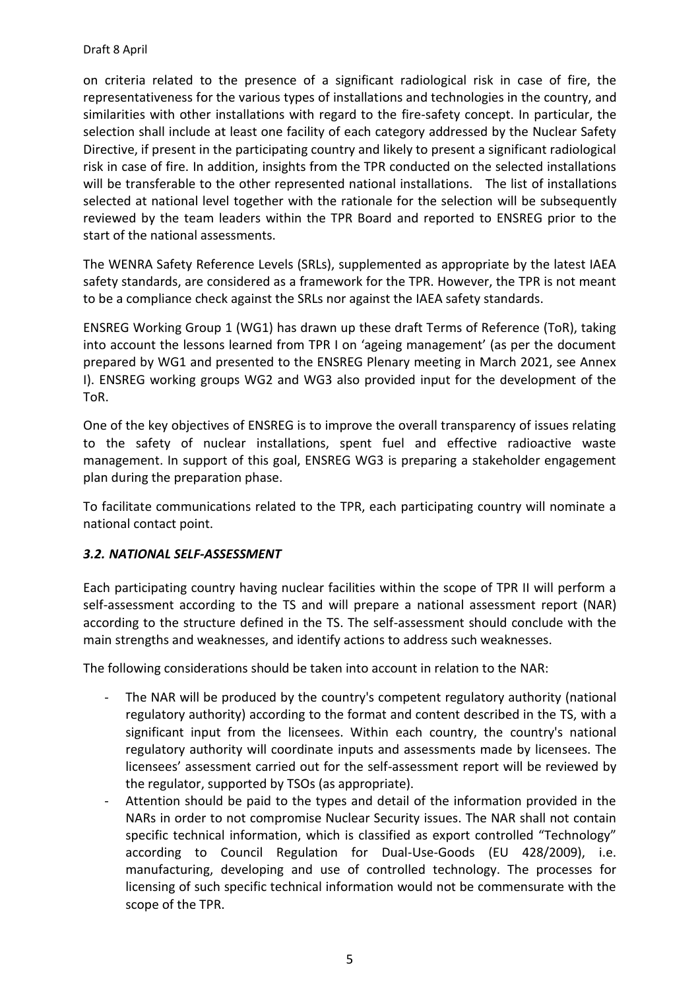on criteria related to the presence of a significant radiological risk in case of fire, the representativeness for the various types of installations and technologies in the country, and similarities with other installations with regard to the fire-safety concept. In particular, the selection shall include at least one facility of each category addressed by the Nuclear Safety Directive, if present in the participating country and likely to present a significant radiological risk in case of fire. In addition, insights from the TPR conducted on the selected installations will be transferable to the other represented national installations. The list of installations selected at national level together with the rationale for the selection will be subsequently reviewed by the team leaders within the TPR Board and reported to ENSREG prior to the start of the national assessments.

The WENRA Safety Reference Levels (SRLs), supplemented as appropriate by the latest IAEA safety standards, are considered as a framework for the TPR. However, the TPR is not meant to be a compliance check against the SRLs nor against the IAEA safety standards.

ENSREG Working Group 1 (WG1) has drawn up these draft Terms of Reference (ToR), taking into account the lessons learned from TPR I on 'ageing management' (as per the document prepared by WG1 and presented to the ENSREG Plenary meeting in March 2021, see Annex I). ENSREG working groups WG2 and WG3 also provided input for the development of the ToR.

One of the key objectives of ENSREG is to improve the overall transparency of issues relating to the safety of nuclear installations, spent fuel and effective radioactive waste management. In support of this goal, ENSREG WG3 is preparing a stakeholder engagement plan during the preparation phase.

To facilitate communications related to the TPR, each participating country will nominate a national contact point.

# <span id="page-4-0"></span>*3.2. NATIONAL SELF-ASSESSMENT*

Each participating country having nuclear facilities within the scope of TPR II will perform a self-assessment according to the TS and will prepare a national assessment report (NAR) according to the structure defined in the TS. The self-assessment should conclude with the main strengths and weaknesses, and identify actions to address such weaknesses.

The following considerations should be taken into account in relation to the NAR:

- The NAR will be produced by the country's competent regulatory authority (national regulatory authority) according to the format and content described in the TS, with a significant input from the licensees. Within each country, the country's national regulatory authority will coordinate inputs and assessments made by licensees. The licensees' assessment carried out for the self-assessment report will be reviewed by the regulator, supported by TSOs (as appropriate).
- Attention should be paid to the types and detail of the information provided in the NARs in order to not compromise Nuclear Security issues. The NAR shall not contain specific technical information, which is classified as export controlled "Technology" according to Council Regulation for Dual-Use-Goods (EU 428/2009), i.e. manufacturing, developing and use of controlled technology. The processes for licensing of such specific technical information would not be commensurate with the scope of the TPR.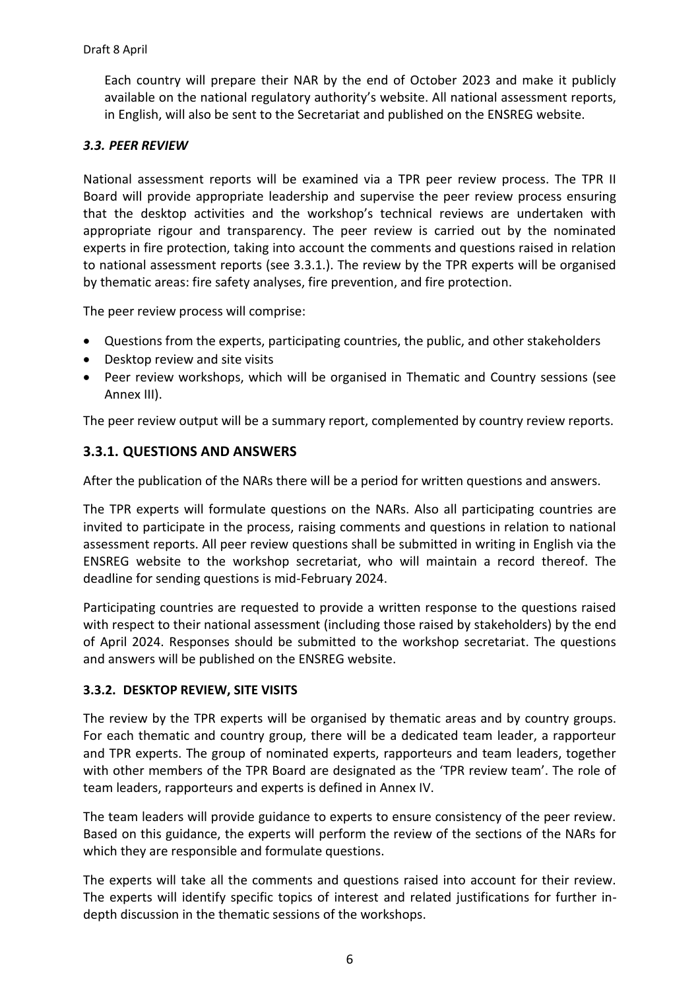Each country will prepare their NAR by the end of October 2023 and make it publicly available on the national regulatory authority's website. All national assessment reports, in English, will also be sent to the Secretariat and published on the ENSREG website.

## <span id="page-5-0"></span>*3.3. PEER REVIEW*

National assessment reports will be examined via a TPR peer review process. The TPR II Board will provide appropriate leadership and supervise the peer review process ensuring that the desktop activities and the workshop's technical reviews are undertaken with appropriate rigour and transparency. The peer review is carried out by the nominated experts in fire protection, taking into account the comments and questions raised in relation to national assessment reports (see 3.3.1.). The review by the TPR experts will be organised by thematic areas: fire safety analyses, fire prevention, and fire protection.

The peer review process will comprise:

- Questions from the experts, participating countries, the public, and other stakeholders
- Desktop review and site visits
- Peer review workshops, which will be organised in Thematic and Country sessions (see Annex III).

The peer review output will be a summary report, complemented by country review reports.

### <span id="page-5-1"></span>**3.3.1. QUESTIONS AND ANSWERS**

After the publication of the NARs there will be a period for written questions and answers.

The TPR experts will formulate questions on the NARs. Also all participating countries are invited to participate in the process, raising comments and questions in relation to national assessment reports. All peer review questions shall be submitted in writing in English via the ENSREG website to the workshop secretariat, who will maintain a record thereof. The deadline for sending questions is mid-February 2024.

Participating countries are requested to provide a written response to the questions raised with respect to their national assessment (including those raised by stakeholders) by the end of April 2024. Responses should be submitted to the workshop secretariat. The questions and answers will be published on the ENSREG website.

#### <span id="page-5-2"></span>**3.3.2. DESKTOP REVIEW, SITE VISITS**

The review by the TPR experts will be organised by thematic areas and by country groups. For each thematic and country group, there will be a dedicated team leader, a rapporteur and TPR experts. The group of nominated experts, rapporteurs and team leaders, together with other members of the TPR Board are designated as the 'TPR review team'. The role of team leaders, rapporteurs and experts is defined in Annex IV.

The team leaders will provide guidance to experts to ensure consistency of the peer review. Based on this guidance, the experts will perform the review of the sections of the NARs for which they are responsible and formulate questions.

The experts will take all the comments and questions raised into account for their review. The experts will identify specific topics of interest and related justifications for further indepth discussion in the thematic sessions of the workshops.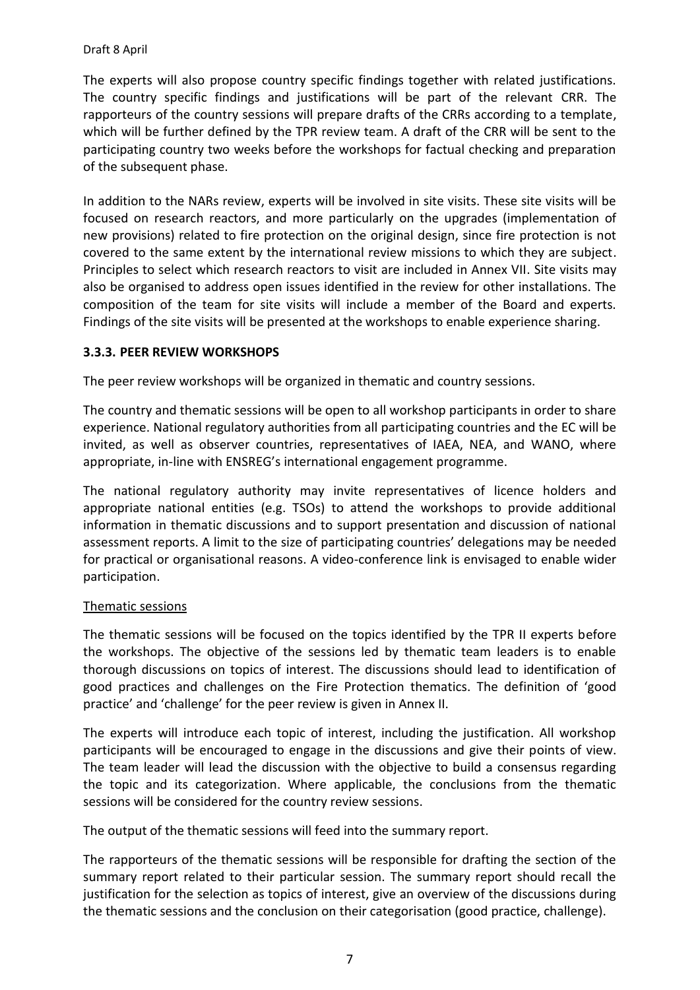#### Draft 8 April

The experts will also propose country specific findings together with related justifications. The country specific findings and justifications will be part of the relevant CRR. The rapporteurs of the country sessions will prepare drafts of the CRRs according to a template, which will be further defined by the TPR review team. A draft of the CRR will be sent to the participating country two weeks before the workshops for factual checking and preparation of the subsequent phase.

In addition to the NARs review, experts will be involved in site visits. These site visits will be focused on research reactors, and more particularly on the upgrades (implementation of new provisions) related to fire protection on the original design, since fire protection is not covered to the same extent by the international review missions to which they are subject. Principles to select which research reactors to visit are included in Annex VII. Site visits may also be organised to address open issues identified in the review for other installations. The composition of the team for site visits will include a member of the Board and experts. Findings of the site visits will be presented at the workshops to enable experience sharing.

### <span id="page-6-0"></span>**3.3.3. PEER REVIEW WORKSHOPS**

The peer review workshops will be organized in thematic and country sessions.

The country and thematic sessions will be open to all workshop participants in order to share experience. National regulatory authorities from all participating countries and the EC will be invited, as well as observer countries, representatives of IAEA, NEA, and WANO, where appropriate, in-line with ENSREG's international engagement programme.

The national regulatory authority may invite representatives of licence holders and appropriate national entities (e.g. TSOs) to attend the workshops to provide additional information in thematic discussions and to support presentation and discussion of national assessment reports. A limit to the size of participating countries' delegations may be needed for practical or organisational reasons. A video-conference link is envisaged to enable wider participation.

#### Thematic sessions

The thematic sessions will be focused on the topics identified by the TPR II experts before the workshops. The objective of the sessions led by thematic team leaders is to enable thorough discussions on topics of interest. The discussions should lead to identification of good practices and challenges on the Fire Protection thematics. The definition of 'good practice' and 'challenge' for the peer review is given in Annex II.

The experts will introduce each topic of interest, including the justification. All workshop participants will be encouraged to engage in the discussions and give their points of view. The team leader will lead the discussion with the objective to build a consensus regarding the topic and its categorization. Where applicable, the conclusions from the thematic sessions will be considered for the country review sessions.

The output of the thematic sessions will feed into the summary report.

The rapporteurs of the thematic sessions will be responsible for drafting the section of the summary report related to their particular session. The summary report should recall the justification for the selection as topics of interest, give an overview of the discussions during the thematic sessions and the conclusion on their categorisation (good practice, challenge).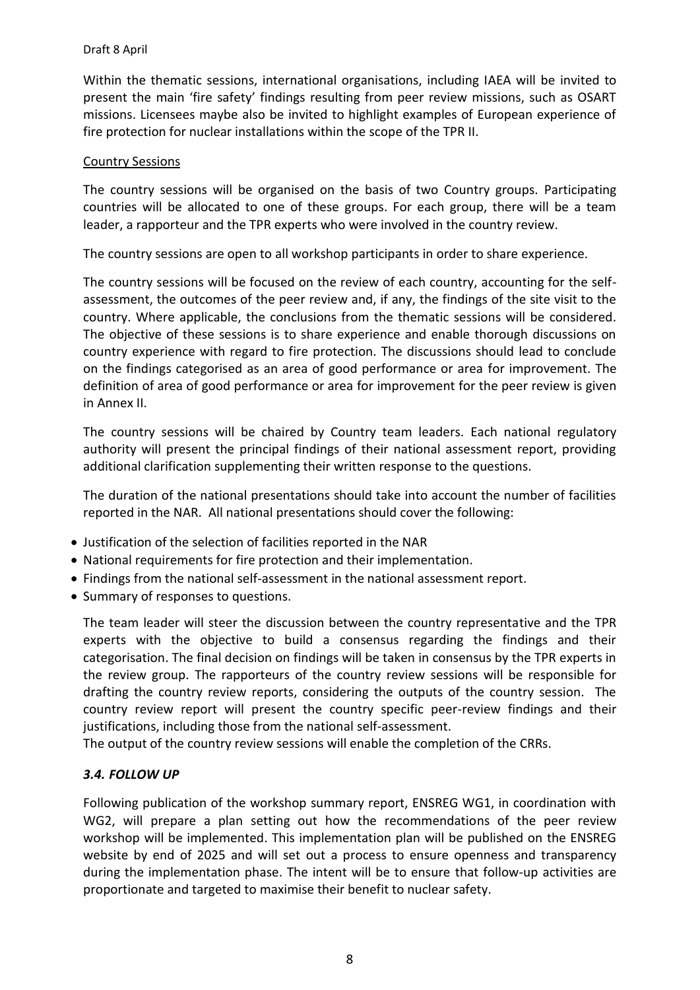Within the thematic sessions, international organisations, including IAEA will be invited to present the main 'fire safety' findings resulting from peer review missions, such as OSART missions. Licensees maybe also be invited to highlight examples of European experience of fire protection for nuclear installations within the scope of the TPR II.

### Country Sessions

The country sessions will be organised on the basis of two Country groups. Participating countries will be allocated to one of these groups. For each group, there will be a team leader, a rapporteur and the TPR experts who were involved in the country review.

The country sessions are open to all workshop participants in order to share experience.

The country sessions will be focused on the review of each country, accounting for the selfassessment, the outcomes of the peer review and, if any, the findings of the site visit to the country. Where applicable, the conclusions from the thematic sessions will be considered. The objective of these sessions is to share experience and enable thorough discussions on country experience with regard to fire protection. The discussions should lead to conclude on the findings categorised as an area of good performance or area for improvement. The definition of area of good performance or area for improvement for the peer review is given in Annex II.

The country sessions will be chaired by Country team leaders. Each national regulatory authority will present the principal findings of their national assessment report, providing additional clarification supplementing their written response to the questions.

The duration of the national presentations should take into account the number of facilities reported in the NAR. All national presentations should cover the following:

- Justification of the selection of facilities reported in the NAR
- National requirements for fire protection and their implementation.
- Findings from the national self-assessment in the national assessment report.
- Summary of responses to questions.

The team leader will steer the discussion between the country representative and the TPR experts with the objective to build a consensus regarding the findings and their categorisation. The final decision on findings will be taken in consensus by the TPR experts in the review group. The rapporteurs of the country review sessions will be responsible for drafting the country review reports, considering the outputs of the country session. The country review report will present the country specific peer-review findings and their justifications, including those from the national self-assessment.

The output of the country review sessions will enable the completion of the CRRs.

#### <span id="page-7-0"></span>*3.4. FOLLOW UP*

Following publication of the workshop summary report, ENSREG WG1, in coordination with WG2, will prepare a plan setting out how the recommendations of the peer review workshop will be implemented. This implementation plan will be published on the ENSREG website by end of 2025 and will set out a process to ensure openness and transparency during the implementation phase. The intent will be to ensure that follow-up activities are proportionate and targeted to maximise their benefit to nuclear safety.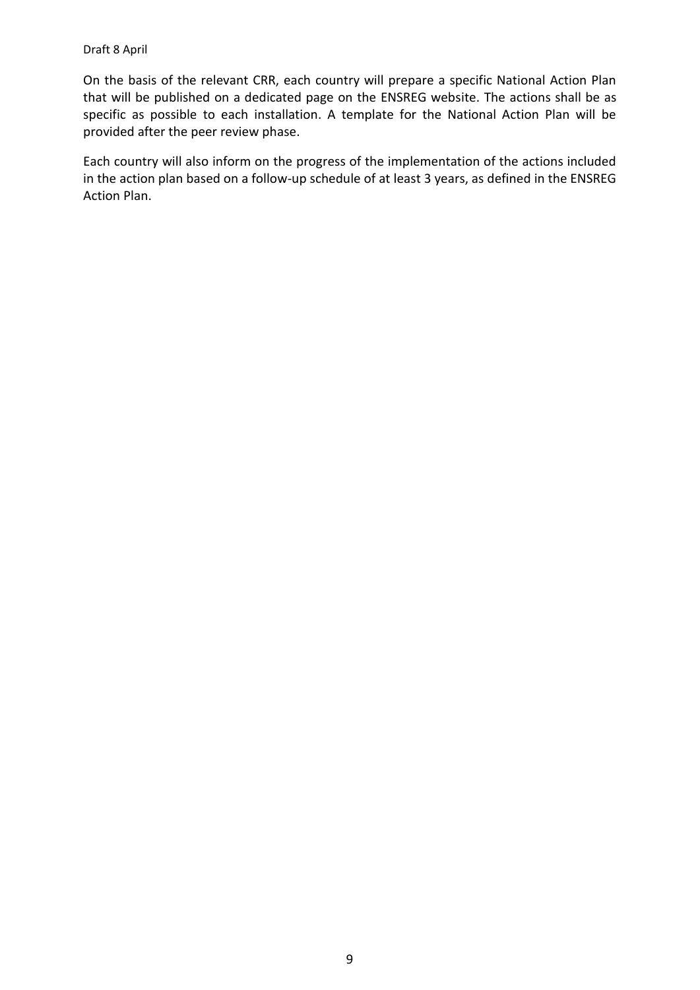On the basis of the relevant CRR, each country will prepare a specific National Action Plan that will be published on a dedicated page on the ENSREG website. The actions shall be as specific as possible to each installation. A template for the National Action Plan will be provided after the peer review phase.

Each country will also inform on the progress of the implementation of the actions included in the action plan based on a follow-up schedule of at least 3 years, as defined in the ENSREG Action Plan.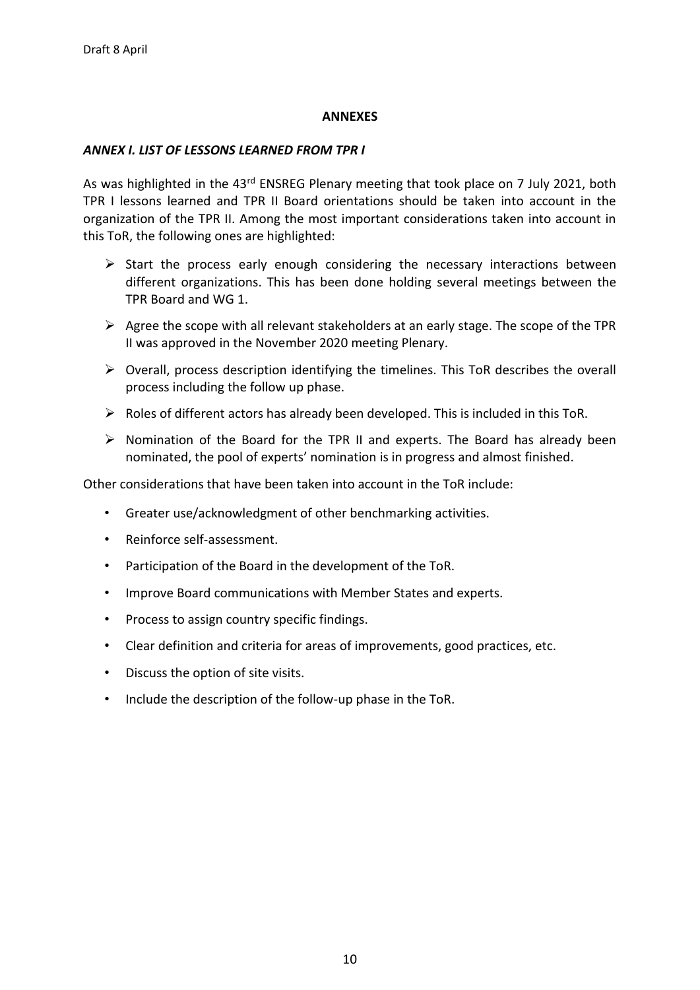#### **ANNEXES**

### <span id="page-9-1"></span><span id="page-9-0"></span>*ANNEX I. LIST OF LESSONS LEARNED FROM TPR I*

As was highlighted in the 43<sup>rd</sup> ENSREG Plenary meeting that took place on 7 July 2021, both TPR I lessons learned and TPR II Board orientations should be taken into account in the organization of the TPR II. Among the most important considerations taken into account in this ToR, the following ones are highlighted:

- $\triangleright$  Start the process early enough considering the necessary interactions between different organizations. This has been done holding several meetings between the TPR Board and WG 1.
- $\triangleright$  Agree the scope with all relevant stakeholders at an early stage. The scope of the TPR II was approved in the November 2020 meeting Plenary.
- $\triangleright$  Overall, process description identifying the timelines. This ToR describes the overall process including the follow up phase.
- $\triangleright$  Roles of different actors has already been developed. This is included in this ToR.
- $\triangleright$  Nomination of the Board for the TPR II and experts. The Board has already been nominated, the pool of experts' nomination is in progress and almost finished.

Other considerations that have been taken into account in the ToR include:

- Greater use/acknowledgment of other benchmarking activities.
- Reinforce self-assessment.
- Participation of the Board in the development of the ToR.
- Improve Board communications with Member States and experts.
- Process to assign country specific findings.
- Clear definition and criteria for areas of improvements, good practices, etc.
- Discuss the option of site visits.
- Include the description of the follow-up phase in the ToR.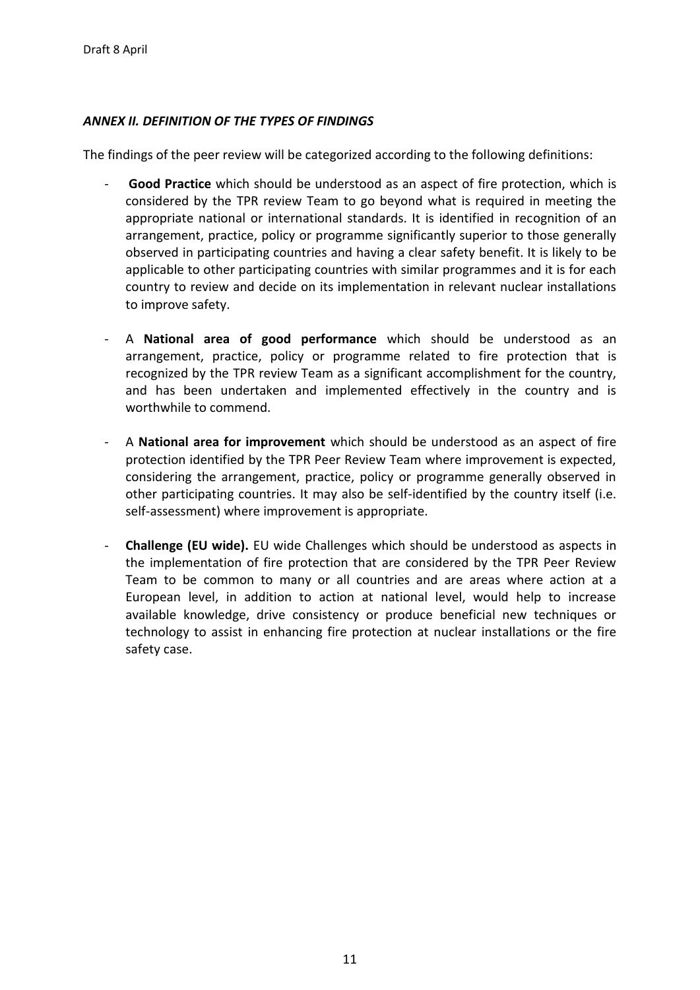# <span id="page-10-0"></span>*ANNEX II. DEFINITION OF THE TYPES OF FINDINGS*

The findings of the peer review will be categorized according to the following definitions:

- **Good Practice** which should be understood as an aspect of fire protection, which is considered by the TPR review Team to go beyond what is required in meeting the appropriate national or international standards. It is identified in recognition of an arrangement, practice, policy or programme significantly superior to those generally observed in participating countries and having a clear safety benefit. It is likely to be applicable to other participating countries with similar programmes and it is for each country to review and decide on its implementation in relevant nuclear installations to improve safety.
- A **National area of good performance** which should be understood as an arrangement, practice, policy or programme related to fire protection that is recognized by the TPR review Team as a significant accomplishment for the country, and has been undertaken and implemented effectively in the country and is worthwhile to commend.
- A **National area for improvement** which should be understood as an aspect of fire protection identified by the TPR Peer Review Team where improvement is expected, considering the arrangement, practice, policy or programme generally observed in other participating countries. It may also be self-identified by the country itself (i.e. self-assessment) where improvement is appropriate.
- **Challenge (EU wide).** EU wide Challenges which should be understood as aspects in the implementation of fire protection that are considered by the TPR Peer Review Team to be common to many or all countries and are areas where action at a European level, in addition to action at national level, would help to increase available knowledge, drive consistency or produce beneficial new techniques or technology to assist in enhancing fire protection at nuclear installations or the fire safety case.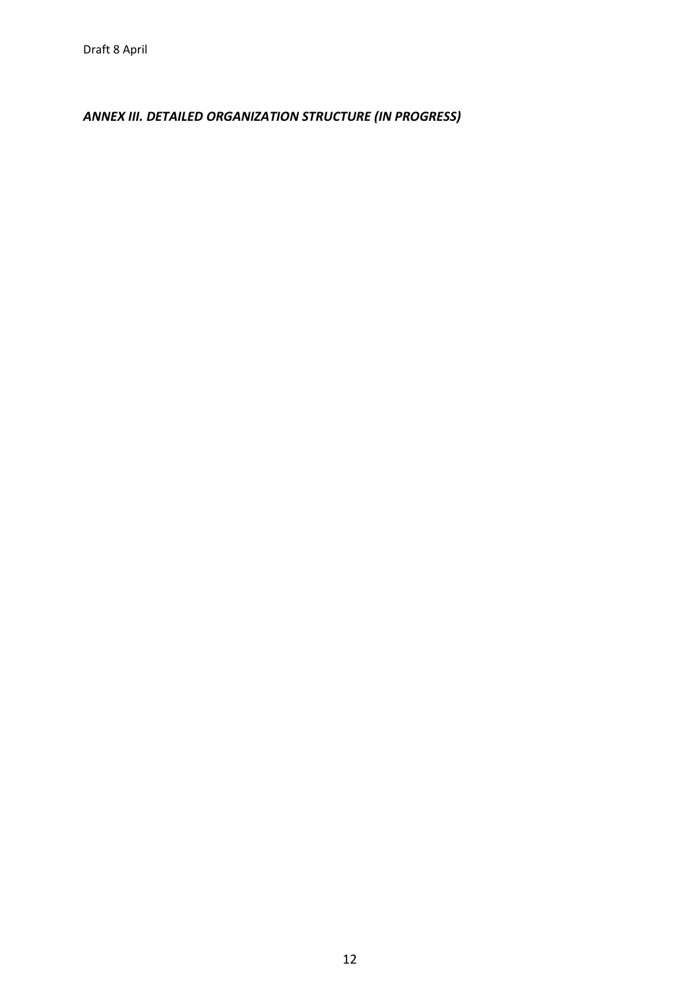<span id="page-11-0"></span>*ANNEX III. DETAILED ORGANIZATION STRUCTURE (IN PROGRESS)*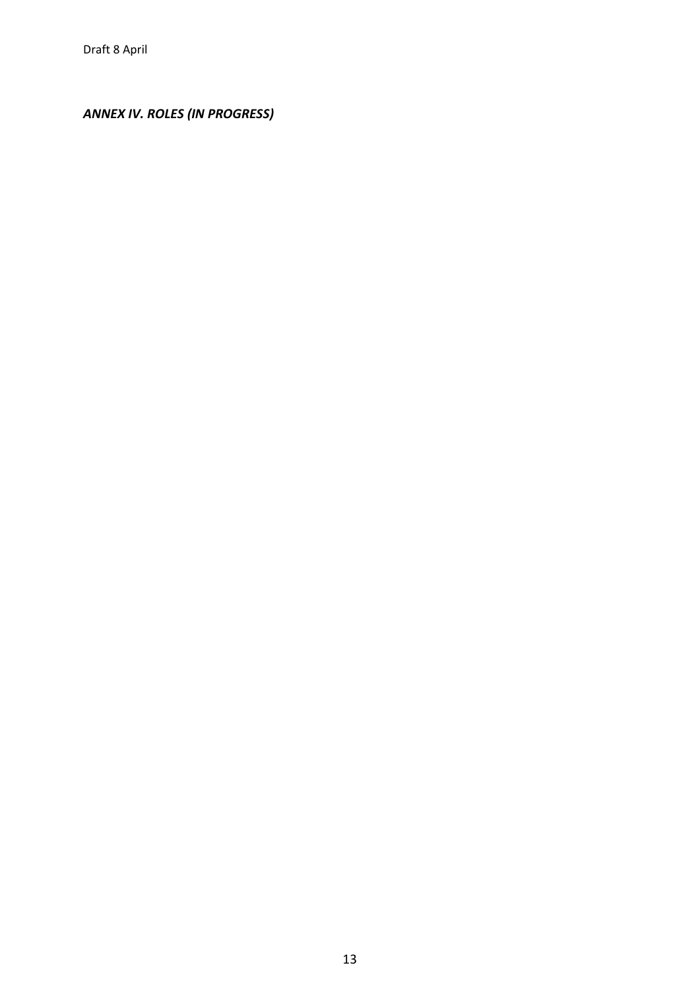# <span id="page-12-0"></span>*ANNEX IV. ROLES (IN PROGRESS)*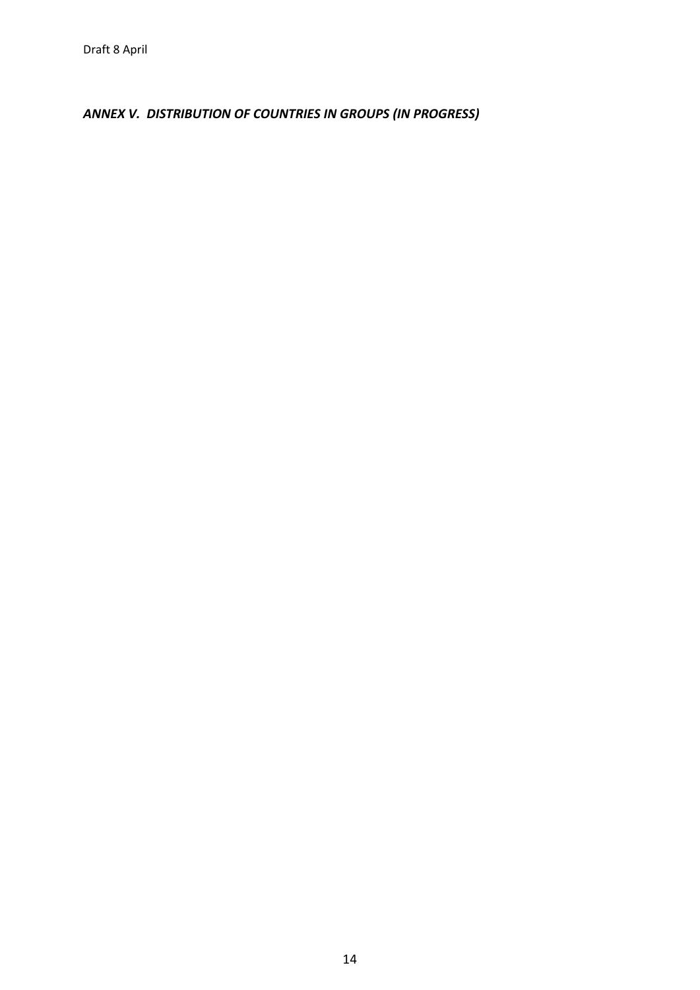<span id="page-13-0"></span>*ANNEX V. DISTRIBUTION OF COUNTRIES IN GROUPS (IN PROGRESS)*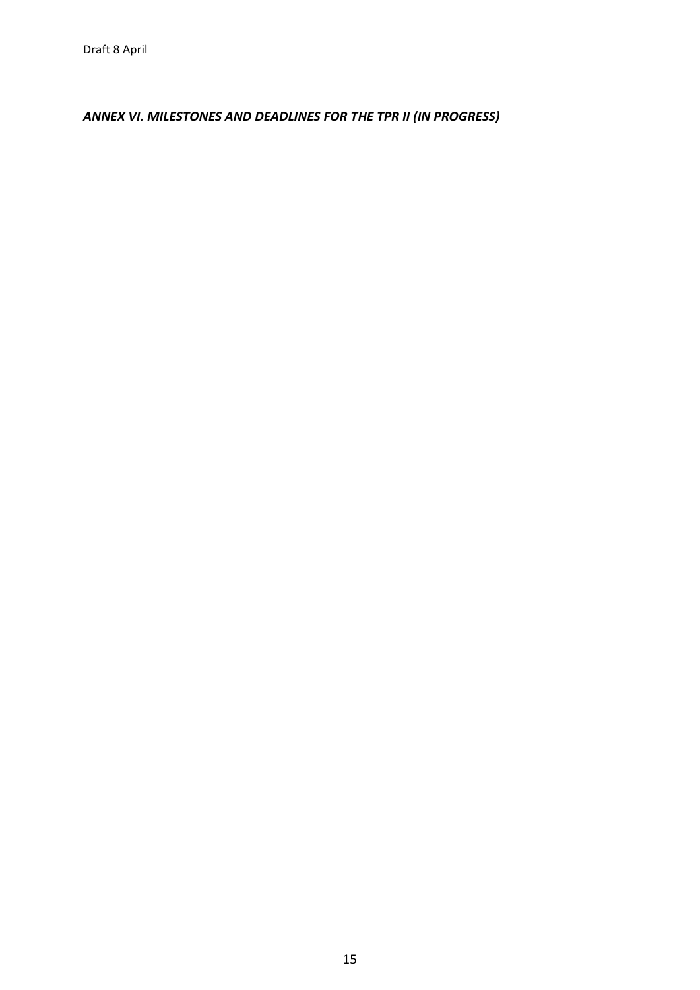<span id="page-14-0"></span>*ANNEX VI. MILESTONES AND DEADLINES FOR THE TPR II (IN PROGRESS)*